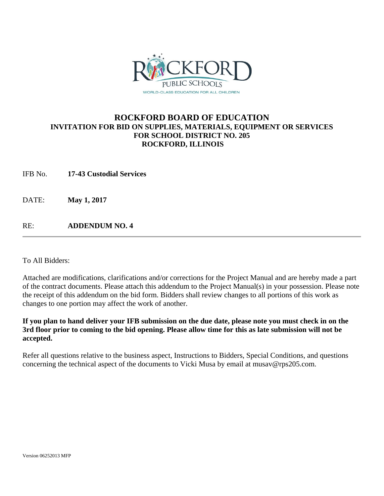

## **ROCKFORD BOARD OF EDUCATION INVITATION FOR BID ON SUPPLIES, MATERIALS, EQUIPMENT OR SERVICES FOR SCHOOL DISTRICT NO. 205 ROCKFORD, ILLINOIS**

IFB No. **17-43 Custodial Services**

DATE: **May 1, 2017** 

RE: **ADDENDUM NO. 4**

To All Bidders:

Attached are modifications, clarifications and/or corrections for the Project Manual and are hereby made a part of the contract documents. Please attach this addendum to the Project Manual(s) in your possession. Please note the receipt of this addendum on the bid form. Bidders shall review changes to all portions of this work as changes to one portion may affect the work of another.

## **If you plan to hand deliver your IFB submission on the due date, please note you must check in on the 3rd floor prior to coming to the bid opening. Please allow time for this as late submission will not be accepted.**

Refer all questions relative to the business aspect, Instructions to Bidders, Special Conditions, and questions concerning the technical aspect of the documents to Vicki Musa by email at musav@rps205.com.